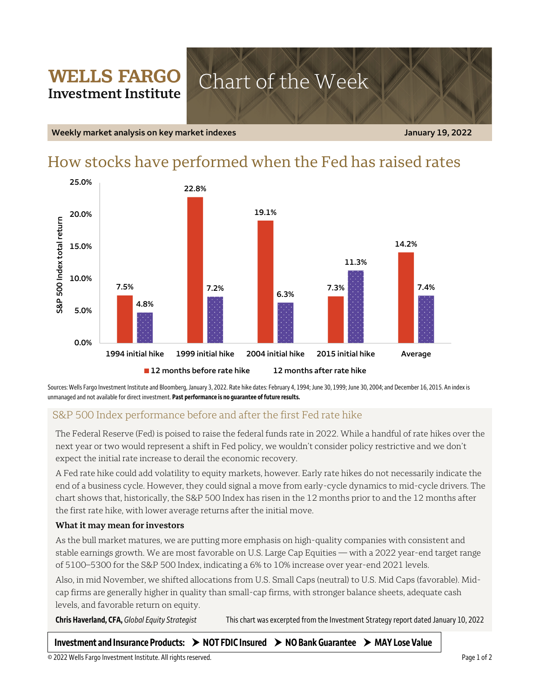## **WELLS FARGO** Chart of the Week **Investment Institute**

**Weekly market analysis on key market indexes January 19, 2022**

# How stocks have performed when the Fed has raised rates



Sources: Wells Fargo Investment Institute and Bloomberg, January 3, 2022. Rate hike dates: February 4, 1994; June 30, 1999; June 30, 2004; and December 16, 2015. An index is unmanaged and not available for direct investment. **Past performance is no guarantee of future results.**

## S&P 500 Index performance before and after the first Fed rate hike

The Federal Reserve (Fed) is poised to raise the federal funds rate in 2022. While a handful of rate hikes over the next year or two would represent a shift in Fed policy, we wouldn't consider policy restrictive and we don't expect the initial rate increase to derail the economic recovery.

A Fed rate hike could add volatility to equity markets, however. Early rate hikes do not necessarily indicate the end of a business cycle. However, they could signal a move from early-cycle dynamics to mid-cycle drivers. The chart shows that, historically, the S&P 500 Index has risen in the 12 months prior to and the 12 months after the first rate hike, with lower average returns after the initial move.

### **What it may mean for investors**

As the bull market matures, we are putting more emphasis on high-quality companies with consistent and stable earnings growth. We are most favorable on U.S. Large Cap Equities — with a 2022 year-end target range of 5100–5300 for the S&P 500 Index, indicating a 6% to 10% increase over year-end 2021 levels.

Also, in mid November, we shifted allocations from U.S. Small Caps (neutral) to U.S. Mid Caps (favorable). Midcap firms are generally higher in quality than small-cap firms, with stronger balance sheets, adequate cash levels, and favorable return on equity.

**Chris Haverland, CFA,** *Global Equity Strategist* This chart was excerpted from the Investment Strategy report dated January 10, 2022

## **Investment and Insurance Products: NOT FDIC Insured NO Bank Guarantee MAY Lose Value**